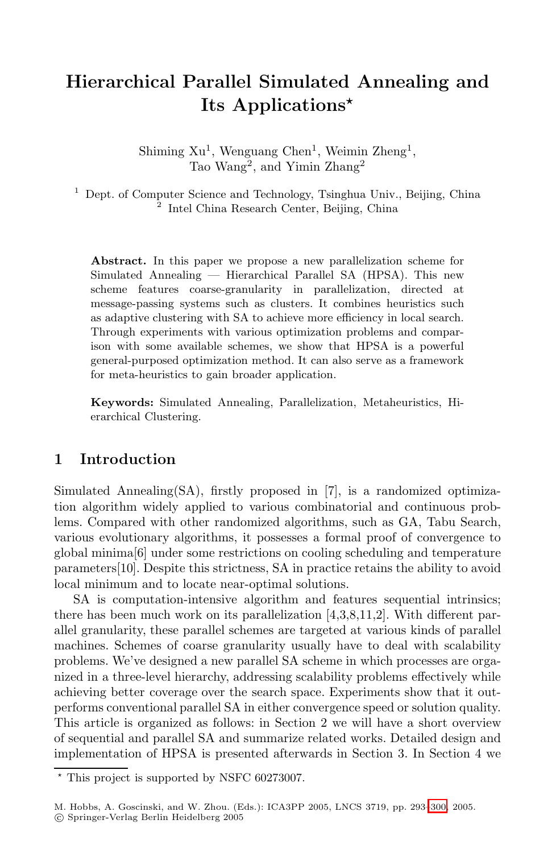# **Hierarchical Parallel Simulated Annealing and Its Applications**

Shiming  $Xu^1$ , Wenguang Chen<sup>1</sup>, Weimin Zheng<sup>1</sup>, Tao Wang<sup>2</sup>, and Yimin Zhang<sup>2</sup>

<sup>1</sup> Dept. of Computer Science and Technology, Tsinghua Univ., Beijing, China <sup>2</sup> Intel China Research Center, Beijing, China

**Abstract.** In this paper we propose a new parallelization scheme for Simulated Annealing — Hierarchical Parallel SA (HPSA). This new scheme features coarse-granularity in parallelization, directed at message-passing systems such as clusters. It combines heuristics such as adaptive clustering with SA to achieve more efficiency in local search. Through experiments with various optimization problems and comparison with some available schemes, we show that HPSA is a powerful general-purposed optimization method. It can also serve as a framework for meta-heuristics to ga[in](#page-7-0) broader application.

**Keywords:** Simulated Annealing, Parallelization, Metaheuristics, Hierarchical Clustering.

## **1 Introduction**

Simulated Annealing(SA), firstly proposed in [7], is a randomized optimization algorithm widely applie[d](#page-7-1) [to](#page-7-2)[var](#page-7-4)[iou](#page-7-5)s combinatorial and continuous problems. Compared with other randomized algorithms, such as GA, Tabu Search, various evolutionary algorithms, it possesses a formal proof of convergence to global minima[6] under some restrictions on cooling scheduling and temperature parameters[10]. Despite this strictness, SA in practice retains the ability to avoid local minimum and to locate near-optimal solutions.

SA is computation-intensive algorithm and features sequential intrinsics; there has been much work on its parallelization  $[4,3,8,11,2]$ . With different parallel granularity, these parallel schemes are targeted at various kinds of parallel machines. Schemes of coarse granularity usually have to deal with scalability problems. We've designed a new parallel SA scheme in which processes are organized in a three-level hierarchy, addressing scalability problems effectively while achieving better coverage over the search space[. Ex](#page-7-6)periments show that it outperforms conventional parallel SA in either convergence speed or solution quality. This article is organized as follows: in Section 2 we will have a short overview of sequential and parallel SA and summarize related works. Detailed design and implementation of HPSA is presented afterwards in Section 3. In Section 4 we

<sup>\*</sup> This project is supported by NSFC 60273007.

M. Hobbs, A. Goscinski, and W. Zhou. (Eds.): ICA3PP 2005, LNCS 3719, pp. 293–300, 2005.

c Springer-Verlag Berlin Heidelberg 2005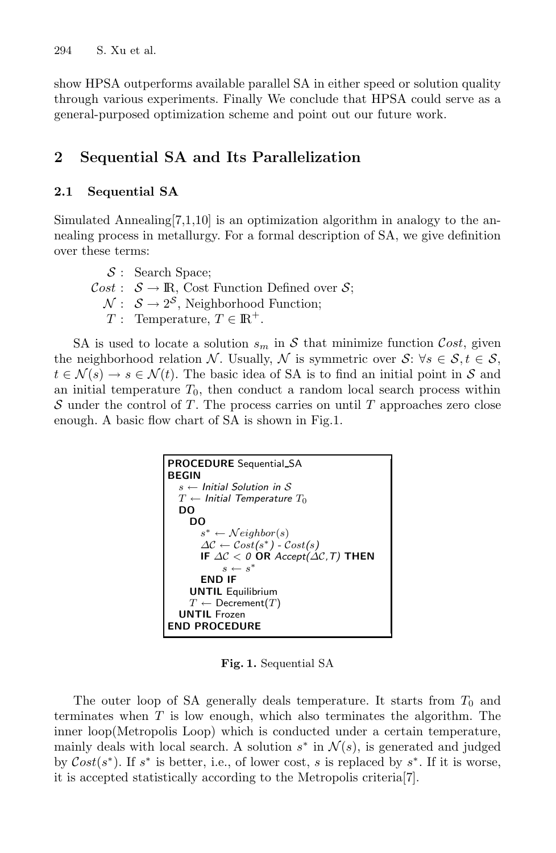294 S. Xu et al.

show HPSA outperforms available parallel SA in either speed or solution quality through various experiments. Finally We conclude that HPSA could serve as a ge[ne](#page-7-0)[r](#page-7-7)[al-p](#page-7-8)urposed optimization scheme and point out our future work.

## **2 Sequential SA and Its Parallelization**

### **2.1 Sequential SA**

Simulated Annealing[7,1,10] is an optimization algorithm in analogy to the annealing process in metallurgy. For a formal description of SA, we give definition over these terms:

 $S$ : Search Space;  $\mathcal{C}ost : \mathcal{S} \to \mathbb{R}$ , Cost Function Defined over  $\mathcal{S}$ ;  $\mathcal{N}: \mathcal{S} \rightarrow 2^{\mathcal{S}}$ , Neighb[or](#page-1-0)hood Function;  $T:$  Temperature,  $T \in \mathbb{R}^+$ .

SA is used to locate a solution  $s_m$  in S that minimize function Cost, given the neighborhood relation N. Usually, N is symmetric over  $S: \forall s \in S, t \in S$ ,  $t \in \mathcal{N}(s) \to s \in \mathcal{N}(t)$ . The basic idea of SA is to find an initial point in S and an initial temperature  $T_0$ , then conduct a random local search process within  $S$  under the control of T. The process carries on until T approaches zero close enough. A basic flow chart of SA is shown in Fig.1.

```
PROCEDURE Sequential SA
BEGIN
  s \leftarrow Initial Solution in S
  T \leftarrow Initial Temperature T_0DO
     DO
           \leftarrow N eighbor(s)
        \Delta C \leftarrow \mathcal{C}ost(s^*) \cdot \mathcal{C}ost(s)IF \Delta C < 0 OR Accept(\Delta C, T) THEN
              s \leftarrow s^*END IF
     UNTIL Equilibrium
     T \leftarrow Decrement(T)UNTIL Frozen
END PROCEDURE
```
**Fig. 1.** Sequen[tia](#page-7-0)l SA

<span id="page-1-0"></span>The outer loop of SA generally deals temperature. It starts from  $T_0$  and terminates when  $T$  is low enough, which also terminates the algorithm. The inner loop(Metropolis Loop) which is conducted under a certain temperature, mainly deals with local search. A solution  $s^*$  in  $\mathcal{N}(s)$ , is generated and judged by  $Cost(s^*)$ . If s<sup>\*</sup> is better, i.e., of lower cost, s is replaced by s<sup>\*</sup>. If it is worse, it is accepted statistically according to the Metropolis criteria[7].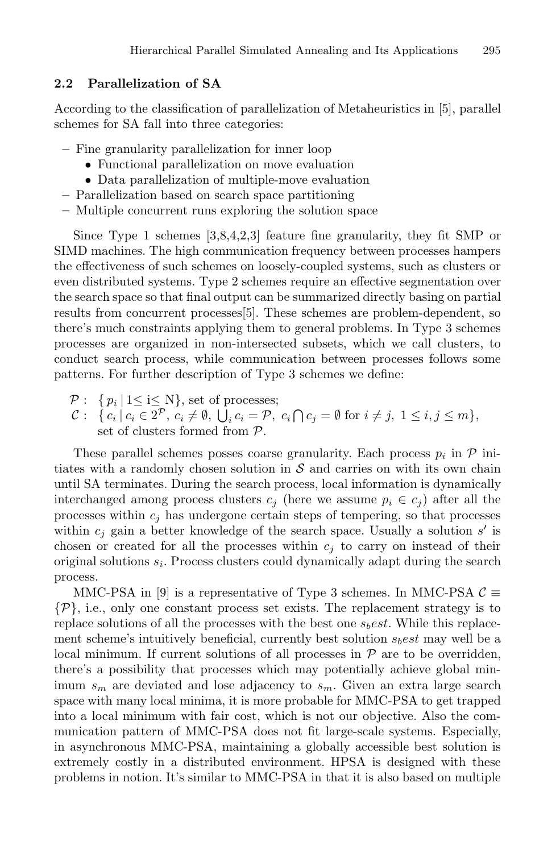#### **2.2 Parallelization of SA**

According to the classification of parallelization of Metaheuristics in [5], parallel schemes [fo](#page-7-2)[r](#page-7-3) [S](#page-7-1)[A](#page-7-5) [fa](#page-7-2)ll into three categories:

- **–** Fine granularity parallelization for inner loop
	- Functional parallelization on move evaluation
	- Data parallelization of multiple-move evaluation
- **–** Paralleliza[tio](#page-7-9)n based on search space partitioning
- **–** Multiple concurrent runs exploring the solution space

Since Type 1 schemes [3,8,4,2,3] feature fine granularity, they fit SMP or SIMD machines. The high communication frequency between processes hampers the effectiveness of such schemes on loosely-coupled systems, such as clusters or even distributed systems. Type 2 schemes require an effective segmentation over the search space so that final output can be summarized directly basing on partial results from concurrent processes[5]. These schemes are problem-dependent, so there's much constraints applying them to general problems. In Type 3 schemes processes are organized in non-intersected subsets, which we call clusters, to conduct search process, while communication between processes follows some patterns. For further description of Type 3 schemes we define:

 $P: \{ p_i | 1 \le i \le N \}, \text{set of processes};$  $\mathcal{C}: \ \{c_i \mid c_i \in 2^{\mathcal{P}}, \ c_i \neq \emptyset, \ \bigcup_i c_i = \mathcal{P}, \ c_i \bigcap c_j = \emptyset \text{ for } i \neq j, \ 1 \leq i, j \leq m\},\$ set of clusters formed from P.

These parallel schemes posses coarse granularity. Each process  $p_i$  in  $P$  initiates with a randomly chosen solution in  $S$  and carries on with its own chain [un](#page-7-10)til SA terminates. During the search process, local information is dynamically interchanged among process clusters  $c_i$  (here we assume  $p_i \in c_j$ ) after all the processes within  $c_i$  has undergone certain steps of tempering, so that processes within  $c_j$  gain a better knowledge of the search space. Usually a solution s' is chosen or created for all the processes within  $c_i$  to carry on instead of their original solutions  $s_i$ . Process clusters could dynamically adapt during the search process.

MMC-PSA in [9] is a representative of Type 3 schemes. In MMC-PSA  $\mathcal{C} \equiv$  $\{P\}$ , i.e., only one constant process set exists. The replacement strategy is to replace solutions of all the processes with the best one  $s_b$ est. While this replacement scheme's intuitively beneficial, currently best solution  $s_b$ est may well be a local minimum. If current solutions of all processes in  $P$  are to be overridden, there's a possibility that processes which may potentially achieve global minimum  $s_m$  are deviated and lose adjacency to  $s_m$ . Given an extra large search space with many local minima, it is more probable for MMC-PSA to get trapped into a local minimum with fair cost, which is not our objective. Also the communication pattern of MMC-PSA does not fit large-scale systems. Especially, in asynchronous MMC-PSA, maintaining a globally accessible best solution is extremely costly in a distributed environment. HPSA is designed with these problems in notion. It's similar to MMC-PSA in that it is also based on multiple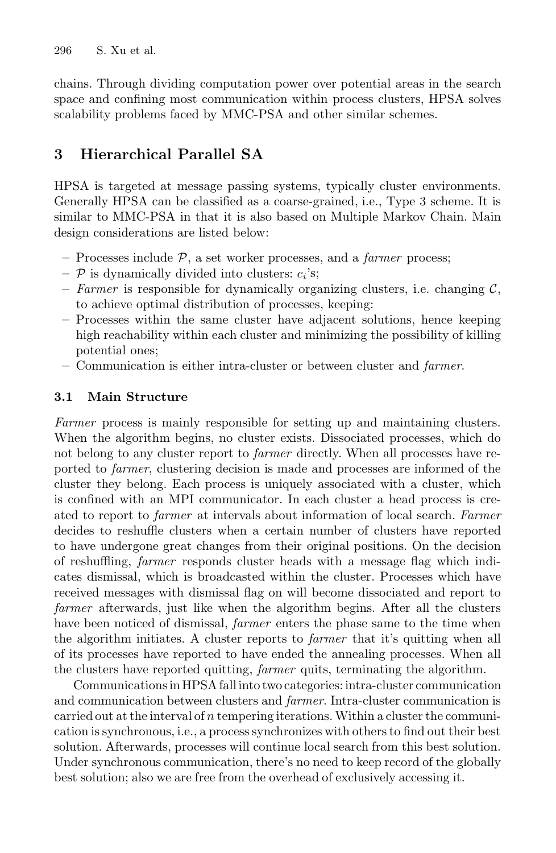chains. Through dividing computation power over potential areas in the search space and confining most communication within process clusters, HPSA solves scalability problems faced by MMC-PSA and other similar schemes.

## **3 Hierarchical Parallel SA**

HPSA is targeted at message passing systems, typically cluster environments. Generally HPSA can be classified as a coarse-grained, i.e., Type 3 scheme. It is similar to MMC-PSA in that it is also based on Multiple Markov Chain. Main design considerations are listed below:

- **–** Processes include P, a set worker processes, and a farmer process;
- $-$  P is dynamically divided into clusters:  $c_i$ 's;
- $-$  Farmer is responsible for dynamically organizing clusters, i.e. changing  $\mathcal{C}$ , to achieve optimal distribution of processes, keeping:
- **–** Processes within the same cluster have adjacent solutions, hence keeping high reachability within each cluster and minimizing the possibility of killing potential ones;
- **–** Communication is either intra-cluster or between cluster and farmer.

## **3.1 Main Structure**

Farmer process is mainly responsible for setting up and maintaining clusters. When the algorithm begins, no cluster exists. Dissociated processes, which do not belong to any cluster report to *farmer* directly. When all processes have reported to farmer, clustering decision is made and processes are informed of the cluster they belong. Each process is uniquely associated with a cluster, which is confined with an MPI communicator. In each cluster a head process is created to report to farmer at intervals about information of local search. Farmer decides to reshuffle clusters when a certain number of clusters have reported to have undergone great changes from their original positions. On the decision of reshuffling, farmer responds cluster heads with a message flag which indicates dismissal, which is broadcasted within the cluster. Processes which have received messages with dismissal flag on will become dissociated and report to farmer afterwards, just like when the algorithm begins. After all the clusters have been noticed of dismissal, *farmer* enters the phase same to the time when the algorithm initiates. A cluster reports to farmer that it's quitting when all of its processes have reported to have ended the annealing processes. When all the clusters have reported quitting, farmer quits, terminating the algorithm.

CommunicationsinHPSAfallintotwocategories:intra-clustercommunication and communication between clusters and farmer. Intra-cluster communication is carried out at the interval of  $n$  tempering iterations. Within a cluster the communication is synchronous, i.e., a process synchronizes with others to find out their best solution. Afterwards, processes will continue local search from this best solution. Under synchronous communication, there's no need to keep record of the globally best solution; also we are free from the overhead of exclusively accessing it.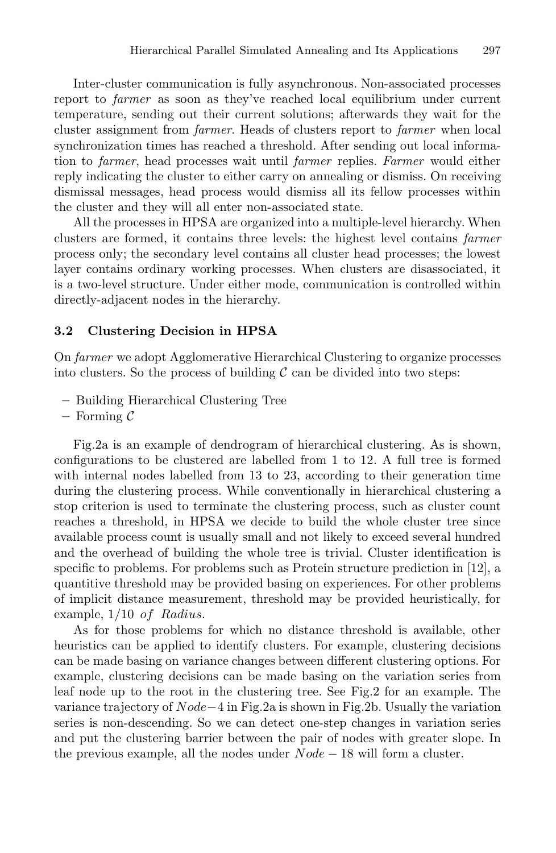Inter-cluster communication is fully asynchronous. Non-associated processes report to farmer as soon as they've reached local equilibrium under current temperature, sending out their current solutions; afterwards they wait for the cluster assignment from farmer. Heads of clusters report to farmer when local synchronization times has reached a threshold. After sending out local information to farmer, head processes wait until farmer replies. Farmer would either reply indicating the cluster to either carry on annealing or dismiss. On receiving dismissal messages, head process would dismiss all its fellow processes within the cluster and they will all enter non-associated state.

All the processes in HPSA are organized into a multiple-level hierarchy. When clusters are formed, it contains three levels: the highest level contains farmer process only; the secondary level contains all cluster head processes; the lowest layer contains ordinary working processes. When clusters are disassociated, it is a two-level structure. Under either mode, communication is controlled within directly-adjacent nodes in the hierarchy.

#### **3.2 Clustering Decision in HPSA**

On farmer we adopt Agglomerative Hierarchical Clustering to organize processes into clusters. So the process of building  $\mathcal C$  can be divided into two steps:

- **–** Building Hierarchical Clustering Tree
- **–** Forming C

Fig.2a is an example of dendrogram of hierarchical clustering. As is shown, configurations to be clustered are labelled from 1 to [12.](#page-7-11) A full tree is formed with internal nodes labelled from 13 to 23, according to their generation time during the clustering process. While conventionally in hierarchical clustering a stop criterion is used to terminate the clustering process, such as cluster count reaches a threshold, in HPSA we decide to build the whole cluster tree since available process count is usually small and not likely to exceed several hundred and the overhead of building the whole tree is trivial. Cluster identification is specific to problems. For problems such as Protein structure prediction in [12], a quantitive threshold may be provided [ba](#page-5-0)sing on experiences. For other problems of implicit distan[ce](#page-5-0) measurement, t[hr](#page-5-0)eshold may be provided heuristically, for example,  $1/10$  *of Radius*.

As for those problems for which no distance threshold is available, other heuristics can be applied to identify clusters. For example, clustering decisions can be made basing on variance changes between different clustering options. For example, clustering decisions can be made basing on the variation series from leaf node up to the root in the clustering tree. See Fig.2 for an example. The variance trajectory of Node−4 in Fig.2a is shown in Fig.2b. Usually the variation series is non-descending. So we can detect one-step changes in variation series and put the clustering barrier between the pair of nodes with greater slope. In the previous example, all the nodes under  $Node - 18$  will form a cluster.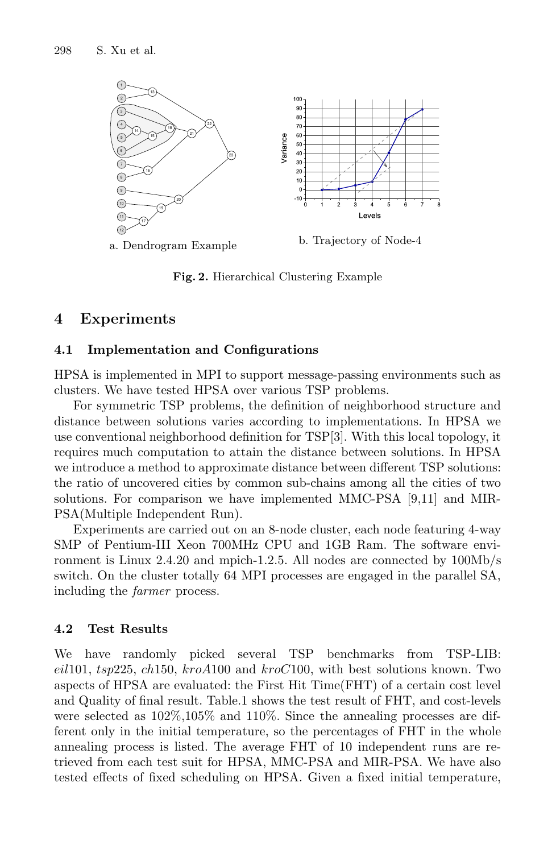298 S. Xu et al.

<span id="page-5-0"></span>

**Fig. 2.** Hierarchical Clustering Example

## **4 Experiments**

## **4.1 Implementation and Configurations**

HPSA is implemented in MPI to support message-passing environments such as clusters. We have tested HPSA over various [T](#page-7-10)[SP](#page-7-4) problems.

For symmetric TSP problems, the definition of neighborhood structure and distance between solutions varies according to implementations. In HPSA we use conventional neighborhood definition for TSP[3]. With this local topology, it requires much computation to attain the distance between solutions. In HPSA we introduce a method to approximate distance between different TSP solutions: the ratio of uncovered cities by common sub-chains among all the cities of two solutions. For comparison we have implemented MMC-PSA [9,11] and MIR-PSA(Multiple Independent Run).

Experiments are carried out on an 8-node cluster, each node featuring 4-way SMP of Pentium-III Xeon 700MHz CPU and 1GB Ram. The software environment is Linux 2.4.20 and mpich-1.2.5. All nodes are connected by 100Mb/s switch. On the cluster totally 64 MPI processes are engaged in the parallel SA, including the [far](#page-6-0)mer process.

#### **4.2 Test Results**

We have randomly picked several TSP benchmarks from TSP-LIB:  $eil101, \, \text{tsp225}, \, \text{ch}150, \, \text{kroA100}$  and  $\text{kroC100},$  with best solutions known. Two aspects of HPSA are evaluated: the First Hit Time(FHT) of a certain cost level and Quality of final result. Table.1 shows the test result of FHT, and cost-levels were selected as 102%,105% and 110%. Since the annealing processes are different only in the initial temperature, so the percentages of FHT in the whole annealing process is listed. The average FHT of 10 independent runs are retrieved from each test suit for HPSA, MMC-PSA and MIR-PSA. We have also tested effects of fixed scheduling on HPSA. Given a fixed initial temperature,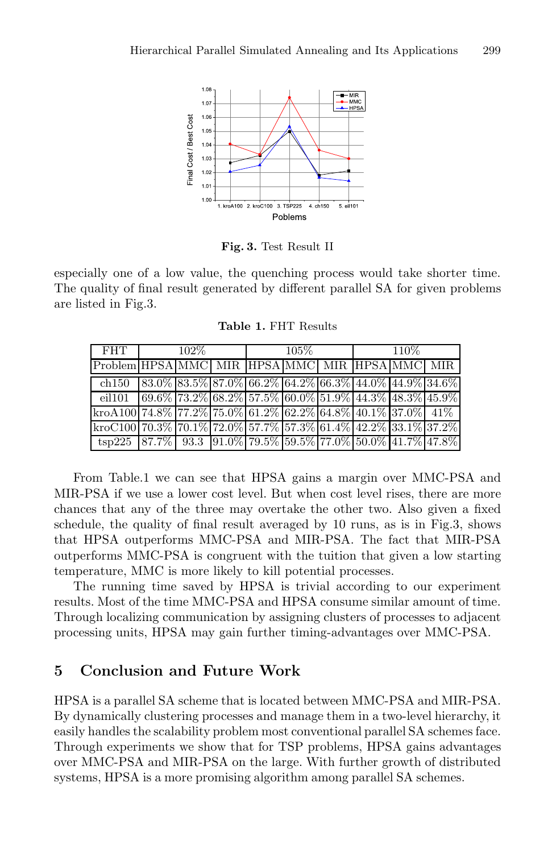

**Fig. 3.** Test Result II

<span id="page-6-1"></span><span id="page-6-0"></span>especially one of a low value, the quenching process would take shorter time. The quality of final result generated by different parallel SA for given problems are listed in Fig.3.

**Table 1.** FHT Results

| <b>FHT</b>                                                                                                                                        | $102\%$ |  |  | $105\%$                                                                                            |  |  | 110\% |  |  |
|---------------------------------------------------------------------------------------------------------------------------------------------------|---------|--|--|----------------------------------------------------------------------------------------------------|--|--|-------|--|--|
| Problem HPSA MMC MIR HPSA MMC MIR HPSA MMC MIR                                                                                                    |         |  |  |                                                                                                    |  |  |       |  |  |
| ch150                                                                                                                                             |         |  |  | $[83.0\%]$ $[83.5\%]$ $[87.0\%]$ $[66.2\%]$ $[64.2\%]$ $[66.3\%]$ $[44.0\%]$ $[44.9\%]$ $[34.6\%]$ |  |  |       |  |  |
| eil101 $\left[69.6\% \right]$ 73.2% $\left[68.2\% \right]$ 57.5% $\left[60.0\% \right]$ 51.9% $\left[44.3\% \right]$ 48.3% $\left[45.9\% \right]$ |         |  |  |                                                                                                    |  |  |       |  |  |
| kroA100 74.8% 77.2% 75.0% 61.2% 62.2% 64.8% 40.1% 37.0% 41%                                                                                       |         |  |  |                                                                                                    |  |  |       |  |  |
| kro $C100$ 70.3% 70.1% 72.0% 57.7% 57.3% 61.4% 42.2% 33.1% 37.2%                                                                                  |         |  |  |                                                                                                    |  |  |       |  |  |
| $\frac{1}{15}$ tsp225 87.7% 93.3 91.0% 79.5% 59.5% 77.0% 50.0% 41.7% 47.8%                                                                        |         |  |  |                                                                                                    |  |  |       |  |  |

From Table.1 we can see that HPSA gains a margin over MMC-PSA and MIR-PSA if we use a lower cost level. But when cost level rises, there are more chances that any of the three may overtake the other two. Also given a fixed schedule, the quality of final result averaged by 10 runs, as is in Fig.3, shows that HPSA outperforms MMC-PSA and MIR-PSA. The fact that MIR-PSA outperforms MMC-PSA is congruent with the tuition that given a low starting temperature, MMC is more likely to kill potential processes.

The running time saved by HPSA is trivial according to our experiment results. Most of the time MMC-PSA and HPSA consume similar amount of time. Through localizing communication by assigning clusters of processes to adjacent processing units, HPSA may gain further timing-advantages over MMC-PSA.

## **5 Conclusion and Future Work**

HPSA is a parallel SA scheme that is located between MMC-PSA and MIR-PSA. By dynamically clustering processes and manage them in a two-level hierarchy, it easily handles the scalability problem most conventional parallel SA schemes face. Through experiments we show that for TSP problems, HPSA gains advantages over MMC-PSA and MIR-PSA on the large. With further growth of distributed systems, HPSA is a more promising algorithm among parallel SA schemes.